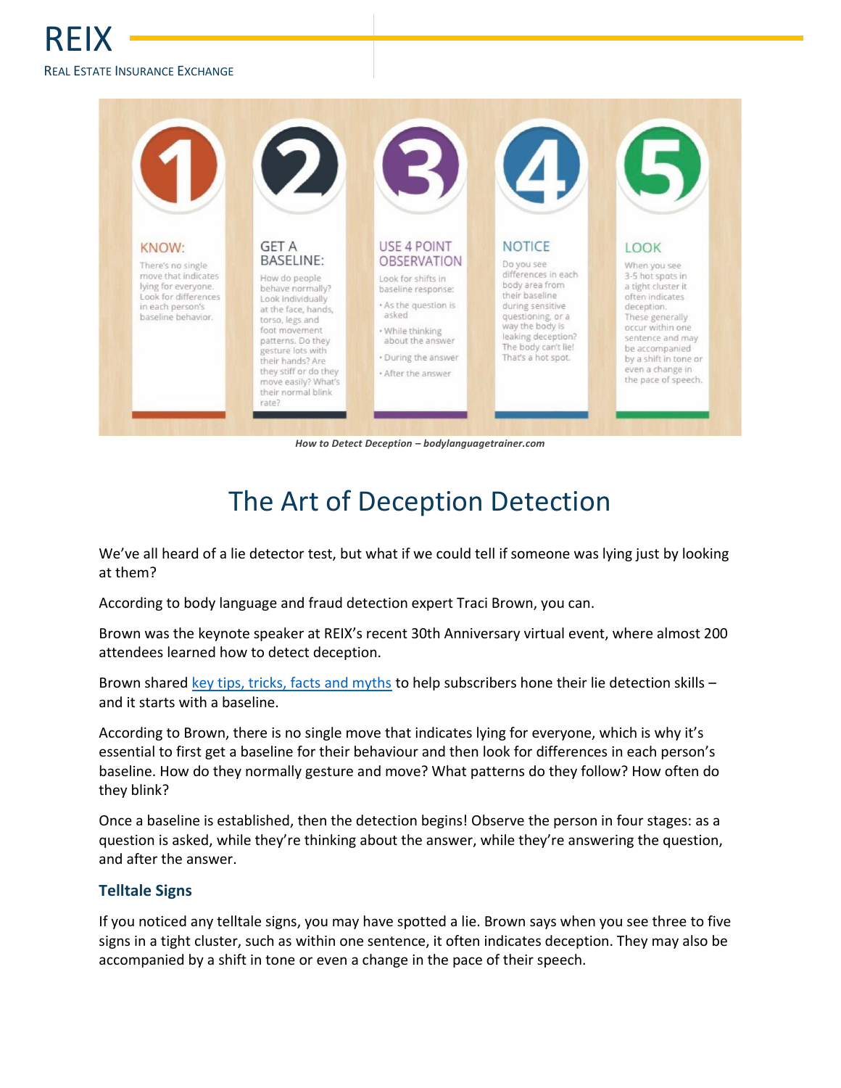## REI REAL ESTATE INSURANCE EXCHANGE



*How to Detect Deception – bodylanguagetrainer.com*

## The Art of Deception Detection

We've all heard of a lie detector test, but what if we could tell if someone was lying just by looking at them?

According to body language and fraud detection expert Traci Brown, you can.

Brown was the keynote speaker at REIX's recent 30th Anniversary virtual event, where almost 200 attendees learned how to detect deception.

Brown share[d key tips, tricks, facts and myths](https://www.reix.ca/wp-content/uploads/Detect-Deception-Handout.pdf) to help subscribers hone their lie detection skills and it starts with a baseline.

According to Brown, there is no single move that indicates lying for everyone, which is why it's essential to first get a baseline for their behaviour and then look for differences in each person's baseline. How do they normally gesture and move? What patterns do they follow? How often do they blink?

Once a baseline is established, then the detection begins! Observe the person in four stages: as a question is asked, while they're thinking about the answer, while they're answering the question, and after the answer.

## **Telltale Signs**

If you noticed any telltale signs, you may have spotted a lie. Brown says when you see three to five signs in a tight cluster, such as within one sentence, it often indicates deception. They may also be accompanied by a shift in tone or even a change in the pace of their speech.